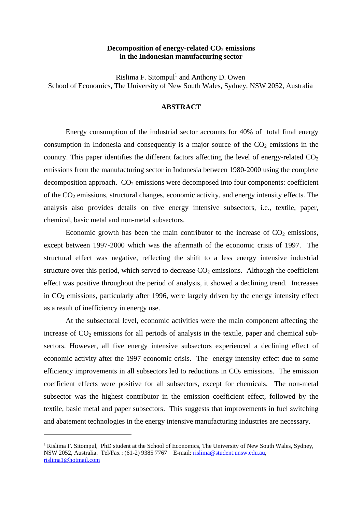# Decomposition of energy-related CO<sub>2</sub> emissions **in the Indonesian manufacturing sector**

Rislima F. Sitompul<sup>1</sup> and Anthony D. Owen School of Economics, The University of New South Wales, Sydney, NSW 2052, Australia

# **ABSTRACT**

Energy consumption of the industrial sector accounts for 40% of total final energy consumption in Indonesia and consequently is a major source of the  $CO<sub>2</sub>$  emissions in the country. This paper identifies the different factors affecting the level of energy-related  $CO<sub>2</sub>$ emissions from the manufacturing sector in Indonesia between 1980-2000 using the complete decomposition approach.  $CO<sub>2</sub>$  emissions were decomposed into four components: coefficient of the  $CO<sub>2</sub>$  emissions, structural changes, economic activity, and energy intensity effects. The analysis also provides details on five energy intensive subsectors, i.e., textile, paper, chemical, basic metal and non-metal subsectors.

Economic growth has been the main contributor to the increase of  $CO<sub>2</sub>$  emissions, except between 1997-2000 which was the aftermath of the economic crisis of 1997. The structural effect was negative, reflecting the shift to a less energy intensive industrial structure over this period, which served to decrease  $CO<sub>2</sub>$  emissions. Although the coefficient effect was positive throughout the period of analysis, it showed a declining trend. Increases in  $CO<sub>2</sub>$  emissions, particularly after 1996, were largely driven by the energy intensity effect as a result of inefficiency in energy use.

At the subsectoral level, economic activities were the main component affecting the increase of  $CO<sub>2</sub>$  emissions for all periods of analysis in the textile, paper and chemical subsectors. However, all five energy intensive subsectors experienced a declining effect of economic activity after the 1997 economic crisis. The energy intensity effect due to some efficiency improvements in all subsectors led to reductions in  $CO<sub>2</sub>$  emissions. The emission coefficient effects were positive for all subsectors, except for chemicals. The non-metal subsector was the highest contributor in the emission coefficient effect, followed by the textile, basic metal and paper subsectors. This suggests that improvements in fuel switching and abatement technologies in the energy intensive manufacturing industries are necessary.

 $\overline{a}$ 

 $1$  Rislima F. Sitompul, PhD student at the School of Economics, The University of New South Wales, Sydney, NSW 2052, Australia. Tel/Fax : (61-2) 9385 7767 E-mail: rislima@student.unsw.edu.au, rislima1@hotmail.com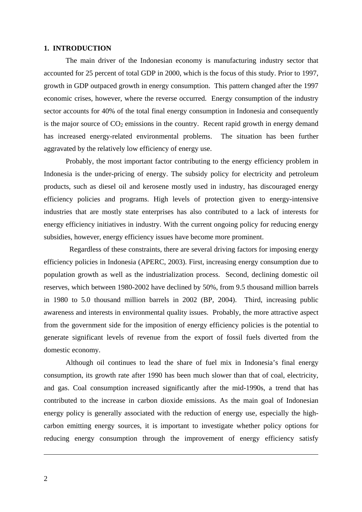## **1. INTRODUCTION**

The main driver of the Indonesian economy is manufacturing industry sector that accounted for 25 percent of total GDP in 2000, which is the focus of this study. Prior to 1997, growth in GDP outpaced growth in energy consumption. This pattern changed after the 1997 economic crises, however, where the reverse occurred. Energy consumption of the industry sector accounts for 40% of the total final energy consumption in Indonesia and consequently is the major source of  $CO<sub>2</sub>$  emissions in the country. Recent rapid growth in energy demand has increased energy-related environmental problems. The situation has been further aggravated by the relatively low efficiency of energy use.

Probably, the most important factor contributing to the energy efficiency problem in Indonesia is the under-pricing of energy. The subsidy policy for electricity and petroleum products, such as diesel oil and kerosene mostly used in industry, has discouraged energy efficiency policies and programs. High levels of protection given to energy-intensive industries that are mostly state enterprises has also contributed to a lack of interests for energy efficiency initiatives in industry. With the current ongoing policy for reducing energy subsidies, however, energy efficiency issues have become more prominent.

Regardless of these constraints, there are several driving factors for imposing energy efficiency policies in Indonesia (APERC, 2003). First, increasing energy consumption due to population growth as well as the industrialization process. Second, declining domestic oil reserves, which between 1980-2002 have declined by 50%, from 9.5 thousand million barrels in 1980 to 5.0 thousand million barrels in 2002 (BP, 2004). Third, increasing public awareness and interests in environmental quality issues. Probably, the more attractive aspect from the government side for the imposition of energy efficiency policies is the potential to generate significant levels of revenue from the export of fossil fuels diverted from the domestic economy.

Although oil continues to lead the share of fuel mix in Indonesia's final energy consumption, its growth rate after 1990 has been much slower than that of coal, electricity, and gas. Coal consumption increased significantly after the mid-1990s, a trend that has contributed to the increase in carbon dioxide emissions. As the main goal of Indonesian energy policy is generally associated with the reduction of energy use, especially the highcarbon emitting energy sources, it is important to investigate whether policy options for reducing energy consumption through the improvement of energy efficiency satisfy

 $\overline{a}$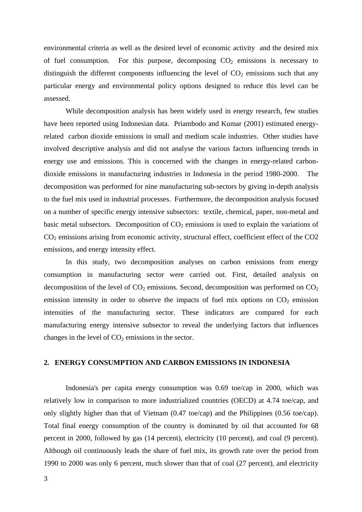environmental criteria as well as the desired level of economic activity and the desired mix of fuel consumption. For this purpose, decomposing  $CO<sub>2</sub>$  emissions is necessary to distinguish the different components influencing the level of  $CO<sub>2</sub>$  emissions such that any particular energy and environmental policy options designed to reduce this level can be assessed.

While decomposition analysis has been widely used in energy research, few studies have been reported using Indonesian data. Priambodo and Kumar (2001) estimated energyrelated carbon dioxide emissions in small and medium scale industries. Other studies have involved descriptive analysis and did not analyse the various factors influencing trends in energy use and emissions. This is concerned with the changes in energy-related carbondioxide emissions in manufacturing industries in Indonesia in the period 1980-2000. The decomposition was performed for nine manufacturing sub-sectors by giving in-depth analysis to the fuel mix used in industrial processes. Furthermore, the decomposition analysis focused on a number of specific energy intensive subsectors: textile, chemical, paper, non-metal and basic metal subsectors. Decomposition of  $CO<sub>2</sub>$  emissions is used to explain the variations of  $CO<sub>2</sub>$  emissions arising from economic activity, structural effect, coefficient effect of the  $CO<sub>2</sub>$ emissions, and energy intensity effect.

In this study, two decomposition analyses on carbon emissions from energy consumption in manufacturing sector were carried out. First, detailed analysis on decomposition of the level of  $CO<sub>2</sub>$  emissions. Second, decomposition was performed on  $CO<sub>2</sub>$ emission intensity in order to observe the impacts of fuel mix options on  $CO<sub>2</sub>$  emission intensities of the manufacturing sector. These indicators are compared for each manufacturing energy intensive subsector to reveal the underlying factors that influences changes in the level of  $CO<sub>2</sub>$  emissions in the sector.

# **2. ENERGY CONSUMPTION AND CARBON EMISSIONS IN INDONESIA**

Indonesia's per capita energy consumption was 0.69 toe/cap in 2000, which was relatively low in comparison to more industrialized countries (OECD) at 4.74 toe/cap, and only slightly higher than that of Vietnam (0.47 toe/cap) and the Philippines (0.56 toe/cap). Total final energy consumption of the country is dominated by oil that accounted for 68 percent in 2000, followed by gas (14 percent), electricity (10 percent), and coal (9 percent). Although oil continuously leads the share of fuel mix, its growth rate over the period from 1990 to 2000 was only 6 percent, much slower than that of coal (27 percent), and electricity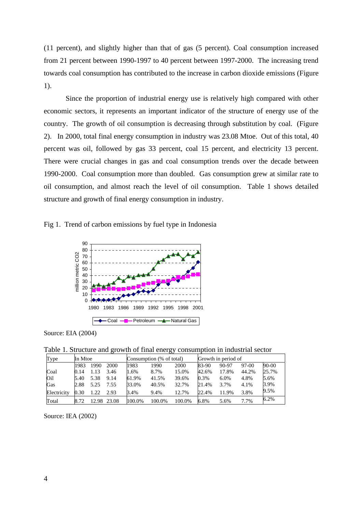(11 percent), and slightly higher than that of gas (5 percent). Coal consumption increased from 21 percent between 1990-1997 to 40 percent between 1997-2000. The increasing trend towards coal consumption has contributed to the increase in carbon dioxide emissions (Figure 1).

Since the proportion of industrial energy use is relatively high compared with other economic sectors, it represents an important indicator of the structure of energy use of the country. The growth of oil consumption is decreasing through substitution by coal. (Figure 2). In 2000, total final energy consumption in industry was 23.08 Mtoe. Out of this total, 40 percent was oil, followed by gas 33 percent, coal 15 percent, and electricity 13 percent. There were crucial changes in gas and coal consumption trends over the decade between 1990-2000. Coal consumption more than doubled. Gas consumption grew at similar rate to oil consumption, and almost reach the level of oil consumption. Table 1 shows detailed structure and growth of final energy consumption in industry.





Source: EIA (2004)

Table 1. Structure and growth of final energy consumption in industrial sector

|             |         |       |       |        |                          | ັັ     |       |                     |         |       |  |
|-------------|---------|-------|-------|--------|--------------------------|--------|-------|---------------------|---------|-------|--|
| Type        | In Mtoe |       |       |        | Consumption (% of total) |        |       | Growth in period of |         |       |  |
|             | 1983    | 1990  | 2000  | 1983   | 1990                     | 2000   | 83-90 | 90-97               | $97-00$ | 90-00 |  |
| Coal        | 0.14    | 1.13  | 3.46  | 1.6%   | 8.7%                     | 15.0%  | 42.6% | 17.8%               | 44.2%   | 25.7% |  |
| Oil         | 5.40    | 5.38  | 9.14  | 61.9%  | 41.5%                    | 39.6%  | 0.3%  | 6.0%                | 4.8%    | 5.6%  |  |
| Gas         | 2.88    | 5.25  | 7.55  | 33.0%  | 40.5%                    | 32.7%  | 21.4% | 3.7%                | 4.1%    | 3.9%  |  |
| Electricity | 0.30    | 1.22  | 2.93  | 3.4%   | 9.4%                     | 12.7%  | 22.4% | 11.9%               | 3.8%    | 9.5%  |  |
| Total       | 8.72    | 12.98 | 23.08 | 100.0% | 100.0%                   | 100.0% | 6.8%  | 5.6%                | 7.7%    | 6.2%  |  |

Source: IEA (2002)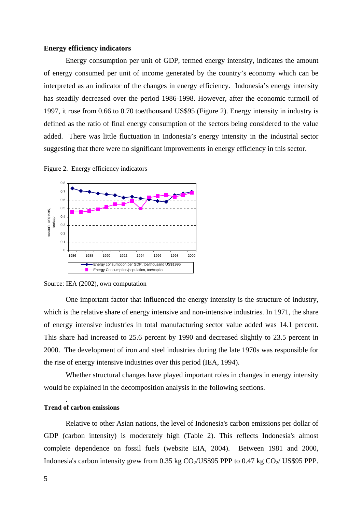## **Energy efficiency indicators**

Energy consumption per unit of GDP, termed energy intensity, indicates the amount of energy consumed per unit of income generated by the country's economy which can be interpreted as an indicator of the changes in energy efficiency. Indonesia's energy intensity has steadily decreased over the period 1986-1998. However, after the economic turmoil of 1997, it rose from 0.66 to 0.70 toe/thousand US\$95 (Figure 2). Energy intensity in industry is defined as the ratio of final energy consumption of the sectors being considered to the value added. There was little fluctuation in Indonesia's energy intensity in the industrial sector suggesting that there were no significant improvements in energy efficiency in this sector.





### Source: IEA (2002), own computation

One important factor that influenced the energy intensity is the structure of industry, which is the relative share of energy intensive and non-intensive industries. In 1971, the share of energy intensive industries in total manufacturing sector value added was 14.1 percent. This share had increased to 25.6 percent by 1990 and decreased slightly to 23.5 percent in 2000. The development of iron and steel industries during the late 1970s was responsible for the rise of energy intensive industries over this period (IEA, 1994).

Whether structural changes have played important roles in changes in energy intensity would be explained in the decomposition analysis in the following sections.

## **Trend of carbon emissions**

.

Relative to other Asian nations, the level of Indonesia's carbon emissions per dollar of GDP (carbon intensity) is moderately high (Table 2). This reflects Indonesia's almost complete dependence on fossil fuels (website EIA, 2004). Between 1981 and 2000, Indonesia's carbon intensity grew from 0.35 kg  $CO<sub>2</sub>/US$95 PPP$  to 0.47 kg  $CO<sub>2</sub>/US$95 PPP$ .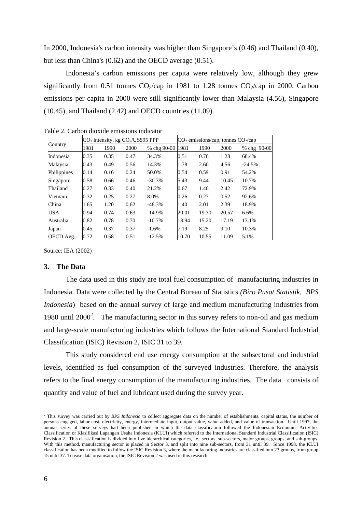In 2000, Indonesia's carbon intensity was higher than Singapore's (0.46) and Thailand (0.40), but less than China's (0.62) and the OECD average (0.51).

Indonesia's carbon emissions per capita were relatively low, although they grew significantly from 0.51 tonnes  $CO_2$ /cap in 1981 to 1.28 tonnes  $CO_2$ /cap in 2000. Carbon emissions per capita in 2000 were still significantly lower than Malaysia (4.56), Singapore (10.45), and Thailand (2.42) and OECD countries (11.09).

| Country     |      | $CO2$ intensity, kg $CO2/US$95$ PPP |      |                  | CO <sub>2</sub> emissions/cap, tonnes CO <sub>2</sub> /cap |       |       |             |  |
|-------------|------|-------------------------------------|------|------------------|------------------------------------------------------------|-------|-------|-------------|--|
|             | 1981 | 1990                                | 2000 | % chg 90-00 1981 |                                                            | 1990  | 2000  | % chg 90-00 |  |
| Indonesia   | 0.35 | 0.35                                | 0.47 | 34.3%            | 0.51                                                       | 0.76  | 1.28  | 68.4%       |  |
| Malaysia    | 0.43 | 0.49                                | 0.56 | 14.3%            | 1.78                                                       | 2.60  | 4.56  | $-24.5%$    |  |
| Philippines | 0.14 | 0.16                                | 0.24 | 50.0%            | 0.54                                                       | 0.59  | 0.91  | 54.2%       |  |
| Singapore   | 0.58 | 0.66                                | 0.46 | $-30.3%$         | 5.43                                                       | 9.44  | 10.45 | 10.7%       |  |
| Thailand    | 0.27 | 0.33                                | 0.40 | 21.2%            | 0.67                                                       | 1.40  | 2.42  | 72.9%       |  |
| Vietnam     | 0.32 | 0.25                                | 0.27 | 8.0%             | 0.26                                                       | 0.27  | 0.52  | 92.6%       |  |
| China       | 1.65 | 1.20                                | 0.62 | $-48.3%$         | 1.40                                                       | 2.01  | 2.39  | 18.9%       |  |
| USA         | 0.94 | 0.74                                | 0.63 | $-14.9%$         | 20.01                                                      | 19.30 | 20.57 | 6.6%        |  |
| Australia   | 0.82 | 0.78                                | 0.70 | $-10.7\%$        | 13.94                                                      | 15.20 | 17.19 | 13.1%       |  |
| Japan       | 0.45 | 0.37                                | 0.37 | $-1.6%$          | 7.19                                                       | 8.25  | 9.10  | 10.3%       |  |
| OECD Avg.   | 0.72 | 0.58                                | 0.51 | $-12.5%$         | 10.70                                                      | 10.55 | 11.09 | 5.1%        |  |

Table 2. Carbon dioxide emissions indicator

Source: IEA (2002)

#### **3. The Data**

The data used in this study are total fuel consumption of manufacturing industries in Indonesia. Data were collected by the Central Bureau of Statistics *(Biro Pusat Statistik, BPS Indonesia*) based on the annual survey of large and medium manufacturing industries from 1980 until  $2000^2$ . The manufacturing sector in this survey refers to non-oil and gas medium and large-scale manufacturing industries which follows the International Standard Industrial Classification (ISIC) Revision 2, ISIC 31 to 39.

This study considered end use energy consumption at the subsectoral and industrial levels, identified as fuel consumption of the surveyed industries. Therefore, the analysis refers to the final energy consumption of the manufacturing industries. The data consists of quantity and value of fuel and lubricant used during the survey year.

 $\overline{a}$ 

<sup>&</sup>lt;sup>2</sup> This survey was carried out by *BPS Indonesia* to collect aggregate data on the number of establishments, capital status, the number of persons engaged, labor cost, electricity, energy, intermediate input, output value, value added, and value of transaction. Until 1997, the annual series of these surveys had been published in which the data classification followed the Indonesian Economic Activities Classification or Klasifikasi Lapangan Usaha Indonesia (KLUI) which referred to the International Standard Industrial Classification (ISIC) Revision 2. This classsification is divided into five hierarchical categories, i.e., sectors, sub-sectors, major groups, groups, and sub-groups. With this method, manufacturing sector is placed in Sector 3, and split into nine sub-sectors, from 31 until 39. Since 1998, the KLUI classification has been modified to follow the ISIC Revision 3, where the manufacturing industries are classified into 23 groups, from group 15 until 37. To ease data organisation, the ISIC Revision 2 was used in this research.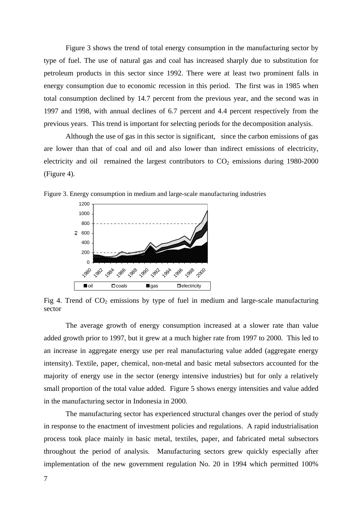Figure 3 shows the trend of total energy consumption in the manufacturing sector by type of fuel. The use of natural gas and coal has increased sharply due to substitution for petroleum products in this sector since 1992. There were at least two prominent falls in energy consumption due to economic recession in this period. The first was in 1985 when total consumption declined by 14.7 percent from the previous year, and the second was in 1997 and 1998, with annual declines of 6.7 percent and 4.4 percent respectively from the previous years. This trend is important for selecting periods for the decomposition analysis.

Although the use of gas in this sector is significant, since the carbon emissions of gas are lower than that of coal and oil and also lower than indirect emissions of electricity, electricity and oil remained the largest contributors to  $CO<sub>2</sub>$  emissions during 1980-2000 (Figure 4).





Fig 4. Trend of  $CO<sub>2</sub>$  emissions by type of fuel in medium and large-scale manufacturing sector

The average growth of energy consumption increased at a slower rate than value added growth prior to 1997, but it grew at a much higher rate from 1997 to 2000. This led to an increase in aggregate energy use per real manufacturing value added (aggregate energy intensity). Textile, paper, chemical, non-metal and basic metal subsectors accounted for the majority of energy use in the sector (energy intensive industries) but for only a relatively small proportion of the total value added. Figure 5 shows energy intensities and value added in the manufacturing sector in Indonesia in 2000.

The manufacturing sector has experienced structural changes over the period of study in response to the enactment of investment policies and regulations. A rapid industrialisation process took place mainly in basic metal, textiles, paper, and fabricated metal subsectors throughout the period of analysis. Manufacturing sectors grew quickly especially after implementation of the new government regulation No. 20 in 1994 which permitted 100%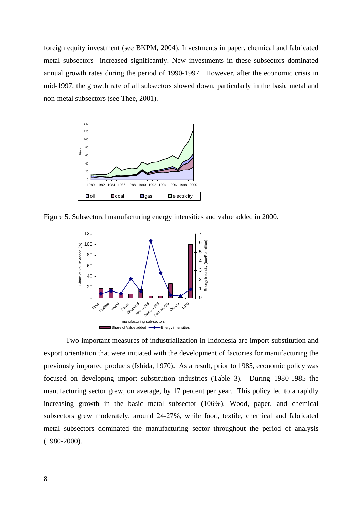foreign equity investment (see BKPM, 2004). Investments in paper, chemical and fabricated metal subsectors increased significantly. New investments in these subsectors dominated annual growth rates during the period of 1990-1997. However, after the economic crisis in mid-1997, the growth rate of all subsectors slowed down, particularly in the basic metal and non-metal subsectors (see Thee, 2001).



Figure 5. Subsectoral manufacturing energy intensities and value added in 2000.



Two important measures of industrialization in Indonesia are import substitution and export orientation that were initiated with the development of factories for manufacturing the previously imported products (Ishida, 1970). As a result, prior to 1985, economic policy was focused on developing import substitution industries (Table 3). During 1980-1985 the manufacturing sector grew, on average, by 17 percent per year. This policy led to a rapidly increasing growth in the basic metal subsector (106%). Wood, paper, and chemical subsectors grew moderately, around 24-27%, while food, textile, chemical and fabricated metal subsectors dominated the manufacturing sector throughout the period of analysis (1980-2000).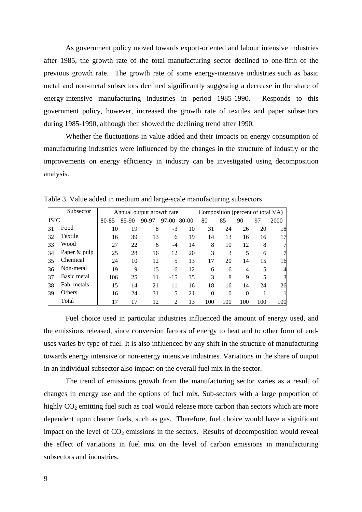As government policy moved towards export-oriented and labour intensive industries after 1985, the growth rate of the total manufacturing sector declined to one-fifth of the previous growth rate. The growth rate of some energy-intensive industries such as basic metal and non-metal subsectors declined significantly suggesting a decrease in the share of energy-intensive manufacturing industries in period 1985-1990.Responds to this government policy, however, increased the growth rate of textiles and paper subsectors during 1985-1990, although then showed the declining trend after 1990*.* 

Whether the fluctuations in value added and their impacts on energy consumption of manufacturing industries were influenced by the changes in the structure of industry or the improvements on energy efficiency in industry can be investigated using decomposition analysis.

|             | Subsector    |       |       | Annual output growth rate |                |       | Composition (percent of total VA) |     |          |     |                |
|-------------|--------------|-------|-------|---------------------------|----------------|-------|-----------------------------------|-----|----------|-----|----------------|
| <b>ISIC</b> |              | 80-85 | 85-90 | 90-97                     | 97-00          | 80-00 | 80                                | 85  | 90       | 97  | 2000           |
| 31          | Food         | 10    | 19    | 8                         | $-3$           | 10    | 31                                | 24  | 26       | 20  | 18             |
| 32          | Textile      | 16    | 39    | 13                        | 6              | 19    | 14                                | 13  | 16       | 16  | 17             |
| 33          | Wood         | 27    | 22    | 6                         | -4             | 14    | 8                                 | 10  | 12       | 8   | 7              |
| 34          | Paper & pulp | 25    | 28    | 16                        | 12             | 20    | 3                                 | 3   | 5        | 6   | 7              |
| 35          | Chemical     | 24    | 10    | 12                        | 5              | 13    | 17                                | 20  | 14       | 15  | 16             |
| 36          | Non-metal    | 19    | 9     | 15                        | -6             | 12    | 6                                 | 6   | 4        | 5   | $\overline{4}$ |
| 37          | Basic metal  | 106   | 25    | 11                        | $-15$          | 35    | 3                                 | 8   | 9        | 5   | 3              |
| 38          | Fab. metals  | 15    | 14    | 21                        | 11             | 16    | 18                                | 16  | 14       | 24  | 26             |
| 39          | Others       | 16    | 24    | 31                        | 5              | 21    | $\Omega$                          | 0   | $\Omega$ |     | $\mathbf{1}$   |
|             | Total        | 17    | 17    | 12                        | $\mathfrak{D}$ | 13    | 100                               | 100 | 100      | 100 | 100            |

Table 3. Value added in medium and large-scale manufacturing subsectors

Fuel choice used in particular industries influenced the amount of energy used, and the emissions released, since conversion factors of energy to heat and to other form of enduses varies by type of fuel. It is also influenced by any shift in the structure of manufacturing towards energy intensive or non-energy intensive industries. Variations in the share of output in an individual subsector also impact on the overall fuel mix in the sector.

The trend of emissions growth from the manufacturing sector varies as a result of changes in energy use and the options of fuel mix. Sub-sectors with a large proportion of highly  $CO<sub>2</sub>$  emitting fuel such as coal would release more carbon than sectors which are more dependent upon cleaner fuels, such as gas. Therefore, fuel choice would have a significant impact on the level of  $CO<sub>2</sub>$  emissions in the sectors. Results of decomposition would reveal the effect of variations in fuel mix on the level of carbon emissions in manufacturing subsectors and industries.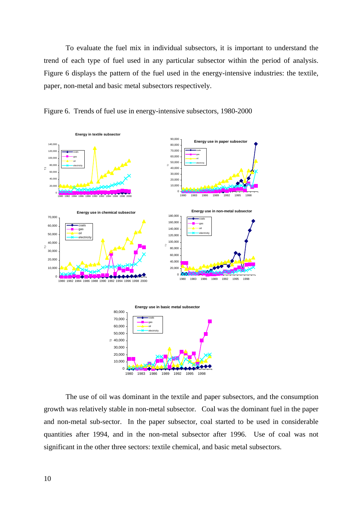To evaluate the fuel mix in individual subsectors, it is important to understand the trend of each type of fuel used in any particular subsector within the period of analysis. Figure 6 displays the pattern of the fuel used in the energy-intensive industries: the textile, paper, non-metal and basic metal subsectors respectively.



Figure 6. Trends of fuel use in energy-intensive subsectors, 1980-2000

The use of oil was dominant in the textile and paper subsectors, and the consumption growth was relatively stable in non-metal subsector. Coal was the dominant fuel in the paper and non-metal sub-sector. In the paper subsector, coal started to be used in considerable quantities after 1994, and in the non-metal subsector after 1996. Use of coal was not significant in the other three sectors: textile chemical, and basic metal subsectors.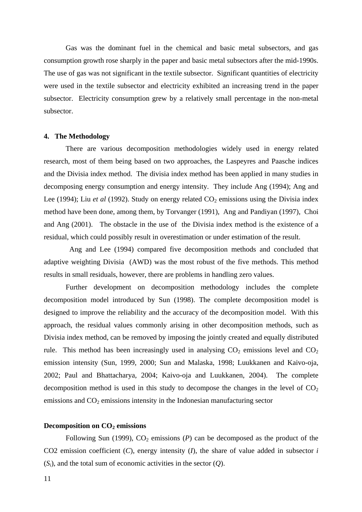Gas was the dominant fuel in the chemical and basic metal subsectors, and gas consumption growth rose sharply in the paper and basic metal subsectors after the mid-1990s. The use of gas was not significant in the textile subsector. Significant quantities of electricity were used in the textile subsector and electricity exhibited an increasing trend in the paper subsector. Electricity consumption grew by a relatively small percentage in the non-metal subsector.

#### **4. The Methodology**

There are various decomposition methodologies widely used in energy related research, most of them being based on two approaches, the Laspeyres and Paasche indices and the Divisia index method. The divisia index method has been applied in many studies in decomposing energy consumption and energy intensity. They include Ang (1994); Ang and Lee (1994); Liu *et al* (1992). Study on energy related  $CO<sub>2</sub>$  emissions using the Divisia index method have been done, among them, by Torvanger (1991), Ang and Pandiyan (1997), Choi and Ang (2001). The obstacle in the use of the Divisia index method is the existence of a residual, which could possibly result in overestimation or under estimation of the result.

Ang and Lee (1994) compared five decomposition methods and concluded that adaptive weighting Divisia (AWD) was the most robust of the five methods. This method results in small residuals, however, there are problems in handling zero values.

Further development on decomposition methodology includes the complete decomposition model introduced by Sun (1998). The complete decomposition model is designed to improve the reliability and the accuracy of the decomposition model. With this approach, the residual values commonly arising in other decomposition methods, such as Divisia index method, can be removed by imposing the jointly created and equally distributed rule. This method has been increasingly used in analysing  $CO<sub>2</sub>$  emissions level and  $CO<sub>2</sub>$ emission intensity (Sun, 1999, 2000; Sun and Malaska, 1998; Luukkanen and Kaivo-oja, 2002; Paul and Bhattacharya, 2004; Kaivo-oja and Luukkanen, 2004). The complete decomposition method is used in this study to decompose the changes in the level of  $CO<sub>2</sub>$ emissions and  $CO<sub>2</sub>$  emissions intensity in the Indonesian manufacturing sector

### **Decomposition on CO<sub>2</sub> emissions**

Following Sun (1999),  $CO_2$  emissions (*P*) can be decomposed as the product of the CO2 emission coefficient (*C*), energy intensity (*I*), the share of value added in subsector *i*  $(S_i)$ , and the total sum of economic activities in the sector  $(Q)$ .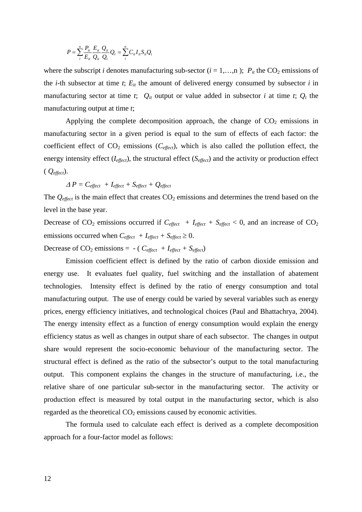$$
P = \sum_{i}^{n} \frac{P_{it}}{E_{it}} \frac{E_{it}}{Q_{it}} \frac{Q_{it}}{Q_{t}} Q_{t} = \sum_{i}^{n} C_{it} I_{it} S_{it} Q_{t}
$$

where the subscript *i* denotes manufacturing sub-sector  $(i = 1,...,n)$ ;  $P_{it}$  the CO<sub>2</sub> emissions of the *i*-th subsector at time  $t$ ;  $E_{it}$  the amount of delivered energy consumed by subsector  $i$  in manufacturing sector at time *t*;  $Q_{it}$  output or value added in subsector *i* at time *t*;  $Q_t$  the manufacturing output at time *t*;

Applying the complete decomposition approach, the change of  $CO<sub>2</sub>$  emissions in manufacturing sector in a given period is equal to the sum of effects of each factor: the coefficient effect of  $CO_2$  emissions ( $C_{effect}$ ), which is also called the pollution effect, the energy intensity effect (*Ieffect*), the structural effect (*Seffect*) and the activity or production effect ( *Qeffect*).

$$
\Delta P = C_{effect} + I_{effect} + S_{effect} + Q_{effect}
$$

The  $Q_{effect}$  is the main effect that creates  $CO_2$  emissions and determines the trend based on the level in the base year.

Decrease of  $CO_2$  emissions occurred if  $C_{effect} + I_{effect} + S_{effect} < 0$ , and an increase of  $CO_2$ emissions occurred when  $C_{effect} + I_{effect} + S_{effect} \ge 0$ . Decrease of  $CO_2$  emissions = - ( $C_{effect} + I_{effect} + S_{effect}$ )

Emission coefficient effect is defined by the ratio of carbon dioxide emission and energy use. It evaluates fuel quality, fuel switching and the installation of abatement technologies. Intensity effect is defined by the ratio of energy consumption and total manufacturing output. The use of energy could be varied by several variables such as energy prices, energy efficiency initiatives, and technological choices (Paul and Bhattachrya, 2004). The energy intensity effect as a function of energy consumption would explain the energy efficiency status as well as changes in output share of each subsector. The changes in output share would represent the socio-economic behaviour of the manufacturing sector. The structural effect is defined as the ratio of the subsector's output to the total manufacturing output. This component explains the changes in the structure of manufacturing, i.e., the relative share of one particular sub-sector in the manufacturing sector. The activity or production effect is measured by total output in the manufacturing sector, which is also regarded as the theoretical  $CO<sub>2</sub>$  emissions caused by economic activities.

The formula used to calculate each effect is derived as a complete decomposition approach for a four-factor model as follows: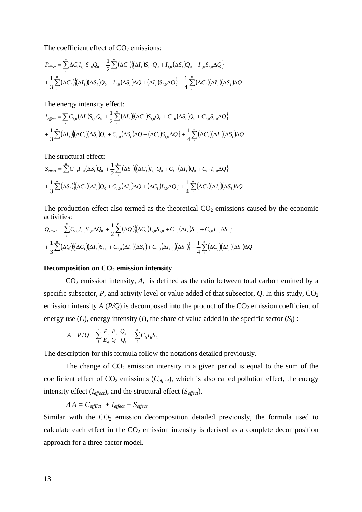The coefficient effect of  $CO<sub>2</sub>$  emissions:

$$
P_{effect} = \sum_{i}^{n} \Delta C_i I_{i,0} S_{i,0} Q_0 + \frac{1}{2} \sum_{i}^{n} (\Delta C_i) \{ (\Delta I_i) S_{i,0} Q_0 + I_{i,0} (\Delta S_i) Q_0 + I_{i,0} S_{i,0} \Delta Q \}
$$
  
+ 
$$
\frac{1}{3} \sum_{i}^{n} (\Delta C_i) \{ (\Delta I_i) (\Delta S_i) Q_0 + I_{i,0} (\Delta S_i) \Delta Q + (\Delta I_i) S_{i,0} \Delta Q \} + \frac{1}{4} \sum_{i}^{n} (\Delta C_i) (\Delta I_i) (\Delta S_i) \Delta Q
$$

The energy intensity effect:

$$
I_{effect} = \sum_{i}^{n} C_{i,0} (\Delta I_i) S_{i,0} Q_0 + \frac{1}{2} \sum_{i}^{n} (\Delta I_i) \{ (\Delta C_i) S_{i,0} Q_0 + C_{i,0} (\Delta S_i) Q_0 + C_{i,0} S_{i,0} \Delta Q \}
$$
  
+ 
$$
\frac{1}{3} \sum_{i}^{n} (\Delta I_i) \{ (\Delta C_i) (\Delta S_i) Q_0 + C_{i,0} (\Delta S_i) \Delta Q + (\Delta C_i) S_{i,0} \Delta Q \} + \frac{1}{4} \sum_{i}^{n} (\Delta C_i) (\Delta I_i) (\Delta S_i) \Delta Q
$$

The structural effect:

$$
S_{effect} = \sum_{i}^{n} C_{i,0} I_{i,0} (\Delta S_i) Q_0 + \frac{1}{2} \sum_{i}^{n} (\Delta S_i) ((\Delta C_i) I_{i,0} Q_0 + C_{i,0} (\Delta I_i) Q_0 + C_{i,0} I_{i,0} \Delta Q) + \frac{1}{3} \sum_{i}^{n} (\Delta S_i) ((\Delta C_i) (\Delta I_i) Q_0 + C_{i,0} (\Delta I_i) \Delta Q + (\Delta C_i) I_{i,0} \Delta Q) + \frac{1}{4} \sum_{i}^{n} (\Delta C_i) (\Delta I_i) (\Delta S_i) \Delta Q
$$

The production effect also termed as the theoretical  $CO<sub>2</sub>$  emissions caused by the economic activities:

$$
Q_{effect} = \sum_{i}^{n} C_{i,0} I_{i,0} S_{i,0} \Delta Q_0 + \frac{1}{2} \sum_{i}^{n} (\Delta Q) \{ (\Delta C_i) I_{i,0} S_{i,0} + C_{i,0} (\Delta I_i) S_{i,0} + C_{i,0} I_{i,0} \Delta S_i \} + \frac{1}{3} \sum_{i}^{n} (\Delta Q) \{ (\Delta C_i) (\Delta I_i) S_{i,0} + C_{i,0} (\Delta I_i) (\Delta S_i) + C_{i,0} (\Delta I_i) (\Delta S_i) \} + \frac{1}{4} \sum_{i}^{n} (\Delta C_i) (\Delta I_i) (\Delta S_i) \Delta Q
$$

#### Decomposition on CO<sub>2</sub> emission intensity

CO2 emission intensity, *A*, is defined as the ratio between total carbon emitted by a specific subsector,  $P$ , and activity level or value added of that subsector,  $Q$ . In this study,  $CO<sub>2</sub>$ emission intensity  $A(P/Q)$  is decomposed into the product of the  $CO<sub>2</sub>$  emission coefficient of energy use  $(C)$ , energy intensity  $(I)$ , the share of value added in the specific sector  $(S_i)$ :

$$
A = P/Q = \sum_{i}^{n} \frac{P_{ii}}{E_{ii}} \frac{E_{ii}}{Q_{ii}} \frac{Q_{ii}}{Q_t} = \sum_{i}^{n} C_{ii} I_{ii} S_{ii}
$$

The description for this formula follow the notations detailed previously.

The change of  $CO<sub>2</sub>$  emission intensity in a given period is equal to the sum of the coefficient effect of  $CO_2$  emissions ( $C_{effect}$ ), which is also called pollution effect, the energy intensity effect (*Ieffect*), and the structural effect (*Seffect*).

$$
\varDelta A = C_{\text{eff}Ect} + I_{\text{effect}} + S_{\text{effect}}
$$

Similar with the  $CO<sub>2</sub>$  emission decomposition detailed previously, the formula used to calculate each effect in the  $CO<sub>2</sub>$  emission intensity is derived as a complete decomposition approach for a three-factor model.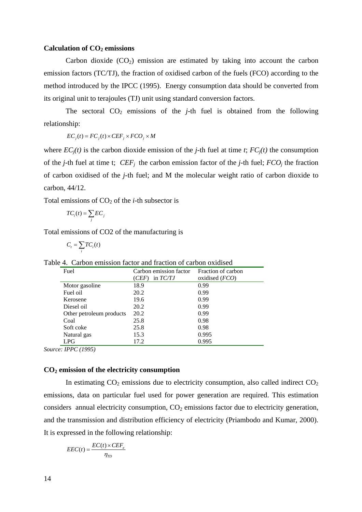## Calculation of CO<sub>2</sub> emissions

Carbon dioxide  $(CO<sub>2</sub>)$  emission are estimated by taking into account the carbon emission factors (TC/TJ), the fraction of oxidised carbon of the fuels (FCO) according to the method introduced by the IPCC (1995). Energy consumption data should be converted from its original unit to terajoules (TJ) unit using standard conversion factors.

The sectoral  $CO<sub>2</sub>$  emissions of the *j*-th fuel is obtained from the following relationship:

 $EC_j(t) = FC_j(t) \times CEF_j \times FCO_j \times M$ 

where  $EC_i(t)$  is the carbon dioxide emission of the *j*-th fuel at time *t*;  $FC_i(t)$  the consumption of the *j*-th fuel at time t;  $CEF_i$  the carbon emission factor of the *j*-th fuel;  $FCO_i$  the fraction of carbon oxidised of the *j-*th fuel; and M the molecular weight ratio of carbon dioxide to carbon, 44/12.

Total emissions of  $CO<sub>2</sub>$  of the *i*-th subsector is

$$
TC_i(t) = \sum_j EC_j
$$

Total emissions of CO2 of the manufacturing is

$$
C_t = \sum_i TC_i(t)
$$

| Fuel                     | Carbon emission factor<br>in $TC/TJ$<br>(CEF) | Fraction of carbon<br>oxidised $(FCO)$ |
|--------------------------|-----------------------------------------------|----------------------------------------|
| Motor gasoline           | 18.9                                          | 0.99                                   |
| Fuel oil                 | 20.2                                          | 0.99                                   |
| Kerosene                 | 19.6                                          | 0.99                                   |
| Diesel oil               | 20.2                                          | 0.99                                   |
| Other petroleum products | 20.2                                          | 0.99                                   |
| Coal                     | 25.8                                          | 0.98                                   |
| Soft coke                | 25.8                                          | 0.98                                   |
| Natural gas              | 15.3                                          | 0.995                                  |
| LPG                      | 17.2                                          | 0.995                                  |

Table 4. Carbon emission factor and fraction of carbon oxidised

*Source: IPPC (1995)*

# **CO2 emission of the electricity consumption**

In estimating  $CO_2$  emissions due to electricity consumption, also called indirect  $CO_2$ emissions, data on particular fuel used for power generation are required. This estimation considers annual electricity consumption,  $CO<sub>2</sub>$  emissions factor due to electricity generation, and the transmission and distribution efficiency of electricity (Priambodo and Kumar, 2000). It is expressed in the following relationship:

$$
EEC(t) = \frac{EC(t) \times CEF_e}{\eta_{TD}}
$$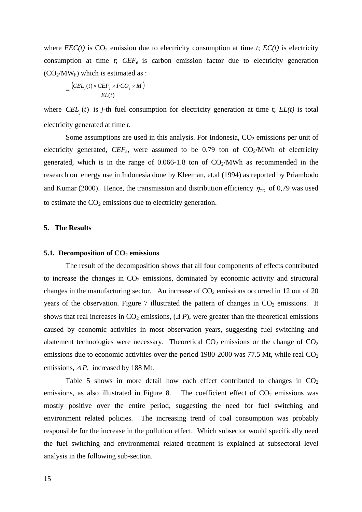where  $EEC(t)$  is  $CO_2$  emission due to electricity consumption at time *t*;  $EC(t)$  is electricity consumption at time  $t$ ;  $CEF_e$  is carbon emission factor due to electricity generation  $(CO<sub>2</sub>/MW<sub>h</sub>)$  which is estimated as :

$$
=\frac{(CEL_j(t) \times CEF_j \times FCO_j \times M)}{EL(t)}
$$

where  $CEL<sub>j</sub>(t)$  is *j*-th fuel consumption for electricity generation at time t;  $EL(t)$  is total electricity generated at time *t*.

Some assumptions are used in this analysis. For Indonesia,  $CO<sub>2</sub>$  emissions per unit of electricity generated,  $CEF_e$ , were assumed to be 0.79 ton of  $CO<sub>2</sub>/MWh$  of electricity generated, which is in the range of  $0.066$ -1.8 ton of  $CO<sub>2</sub>/MWh$  as recommended in the research on energy use in Indonesia done by Kleeman, et.al (1994) as reported by Priambodo and Kumar (2000). Hence, the transmission and distribution efficiency  $\eta_{TD}$  of 0,79 was used to estimate the  $CO<sub>2</sub>$  emissions due to electricity generation.

## **5. The Results**

### **5.1. Decomposition of CO<sub>2</sub> emissions**

The result of the decomposition shows that all four components of effects contributed to increase the changes in  $CO<sub>2</sub>$  emissions, dominated by economic activity and structural changes in the manufacturing sector. An increase of  $CO<sub>2</sub>$  emissions occurred in 12 out of 20 years of the observation. Figure 7 illustrated the pattern of changes in  $CO<sub>2</sub>$  emissions. It shows that real increases in  $CO_2$  emissions,  $(\Delta P)$ , were greater than the theoretical emissions caused by economic activities in most observation years, suggesting fuel switching and abatement technologies were necessary. Theoretical  $CO<sub>2</sub>$  emissions or the change of  $CO<sub>2</sub>$ emissions due to economic activities over the period 1980-2000 was 77.5 Mt, while real  $CO<sub>2</sub>$ emissions,  $\Delta P$ , increased by 188 Mt.

Table 5 shows in more detail how each effect contributed to changes in  $CO<sub>2</sub>$ emissions, as also illustrated in Figure 8. The coefficient effect of  $CO<sub>2</sub>$  emissions was mostly positive over the entire period, suggesting the need for fuel switching and environment related policies. The increasing trend of coal consumption was probably responsible for the increase in the pollution effect. Which subsector would specifically need the fuel switching and environmental related treatment is explained at subsectoral level analysis in the following sub-section.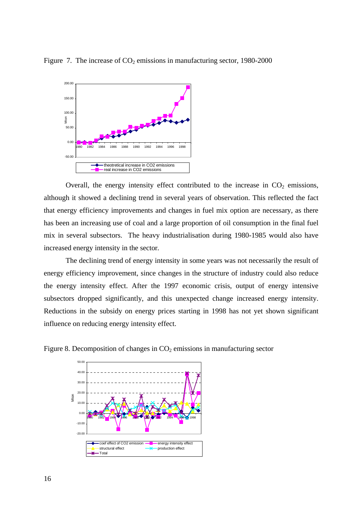

Figure 7. The increase of  $CO<sub>2</sub>$  emissions in manufacturing sector, 1980-2000

Overall, the energy intensity effect contributed to the increase in  $CO<sub>2</sub>$  emissions, although it showed a declining trend in several years of observation. This reflected the fact that energy efficiency improvements and changes in fuel mix option are necessary, as there has been an increasing use of coal and a large proportion of oil consumption in the final fuel mix in several subsectors. The heavy industrialisation during 1980-1985 would also have increased energy intensity in the sector*.*

The declining trend of energy intensity in some years was not necessarily the result of energy efficiency improvement, since changes in the structure of industry could also reduce the energy intensity effect. After the 1997 economic crisis, output of energy intensive subsectors dropped significantly, and this unexpected change increased energy intensity. Reductions in the subsidy on energy prices starting in 1998 has not yet shown significant influence on reducing energy intensity effect.



Figure 8. Decomposition of changes in  $CO<sub>2</sub>$  emissions in manufacturing sector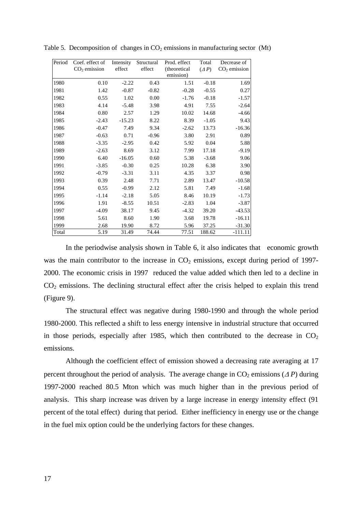| Period | Coef. effect of | Intensity | Structural              | Prod. effect              | Total        | Decrease of    |
|--------|-----------------|-----------|-------------------------|---------------------------|--------------|----------------|
|        | $CO2$ emission  | effect    | $\operatorname{effect}$ | (theoretical<br>emission) | $(\Delta P)$ | $CO2$ emission |
| 1980   | 0.10            | $-2.22$   | 0.43                    | 1.51                      | $-0.18$      | 1.69           |
|        |                 |           |                         |                           |              |                |
| 1981   | 1.42            | $-0.87$   | $-0.82$                 | $-0.28$                   | $-0.55$      | 0.27           |
| 1982   | 0.55            | 1.02      | 0.00                    | $-1.76$                   | $-0.18$      | $-1.57$        |
| 1983   | 4.14            | $-5.48$   | 3.98                    | 4.91                      | 7.55         | $-2.64$        |
| 1984   | 0.80            | 2.57      | 1.29                    | 10.02                     | 14.68        | $-4.66$        |
| 1985   | $-2.43$         | $-15.23$  | 8.22                    | 8.39                      | $-1.05$      | 9.43           |
| 1986   | $-0.47$         | 7.49      | 9.34                    | $-2.62$                   | 13.73        | $-16.36$       |
| 1987   | $-0.63$         | 0.71      | $-0.96$                 | 3.80                      | 2.91         | 0.89           |
| 1988   | $-3.35$         | $-2.95$   | 0.42                    | 5.92                      | 0.04         | 5.88           |
| 1989   | $-2.63$         | 8.69      | 3.12                    | 7.99                      | 17.18        | $-9.19$        |
| 1990   | 6.40            | $-16.05$  | 0.60                    | 5.38                      | $-3.68$      | 9.06           |
| 1991   | $-3.85$         | $-0.30$   | 0.25                    | 10.28                     | 6.38         | 3.90           |
| 1992   | $-0.79$         | $-3.31$   | 3.11                    | 4.35                      | 3.37         | 0.98           |
| 1993   | 0.39            | 2.48      | 7.71                    | 2.89                      | 13.47        | $-10.58$       |
| 1994   | 0.55            | $-0.99$   | 2.12                    | 5.81                      | 7.49         | $-1.68$        |
| 1995   | $-1.14$         | $-2.18$   | 5.05                    | 8.46                      | 10.19        | $-1.73$        |
| 1996   | 1.91            | $-8.55$   | 10.51                   | $-2.83$                   | 1.04         | $-3.87$        |
| 1997   | $-4.09$         | 38.17     | 9.45                    | $-4.32$                   | 39.20        | $-43.53$       |
| 1998   | 5.61            | 8.60      | 1.90                    | 3.68                      | 19.78        | $-16.11$       |
| 1999   | 2.68            | 19.90     | 8.72                    | 5.96                      | 37.25        | $-31.30$       |
| Total  | 5.19            | 31.49     | 74.44                   | 77.51                     | 188.62       | -111.11        |

Table 5. Decomposition of changes in  $CO<sub>2</sub>$  emissions in manufacturing sector (Mt)

In the periodwise analysis shown in Table 6, it also indicates that economic growth was the main contributor to the increase in  $CO<sub>2</sub>$  emissions, except during period of 1997-2000. The economic crisis in 1997 reduced the value added which then led to a decline in CO2 emissions. The declining structural effect after the crisis helped to explain this trend (Figure 9).

The structural effect was negative during 1980-1990 and through the whole period 1980-2000. This reflected a shift to less energy intensive in industrial structure that occurred in those periods, especially after 1985, which then contributed to the decrease in  $CO<sub>2</sub>$ emissions.

Although the coefficient effect of emission showed a decreasing rate averaging at 17 percent throughout the period of analysis. The average change in  $CO_2$  emissions ( $\Delta P$ ) during 1997-2000 reached 80.5 Mton which was much higher than in the previous period of analysis. This sharp increase was driven by a large increase in energy intensity effect (91 percent of the total effect) during that period. Either inefficiency in energy use or the change in the fuel mix option could be the underlying factors for these changes.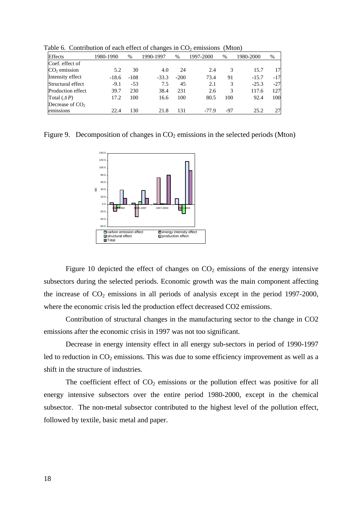Table 6. Contribution of each effect of changes in  $CO<sub>2</sub>$  emissions (Mton)

| <b>Effects</b>     | 1980-1990 | %      | 1990-1997 | %      | 1997-2000 | $\%$ | 1980-2000 | $\%$  |
|--------------------|-----------|--------|-----------|--------|-----------|------|-----------|-------|
| Coef. effect of    |           |        |           |        |           |      |           |       |
| $CO2$ emission     | 5.2       | 30     | 4.0       | 24     | 2.4       | 3    | 15.7      | 17    |
| Intensity effect   | $-18.6$   | $-108$ | $-33.3$   | $-200$ | 73.4      | 91   | $-15.7$   | $-17$ |
| Structural effect  | $-9.1$    | $-53$  | 7.5       | 45     | 2.1       | 3    | $-25.3$   | $-27$ |
| Production effect  | 39.7      | 230    | 38.4      | 231    | 2.6       | 3    | 117.6     | 127   |
| Total $(\Delta P)$ | 17.2      | 100    | 16.6      | 100    | 80.5      | 100  | 92.4      | 100   |
| Decrease of $CO2$  |           |        |           |        |           |      |           |       |
| emissions          | 22.4      | 130    | 21.8      | 131    | $-77.9$   | -97  | 25.2      | 27    |

Figure 9. Decomposition of changes in  $CO<sub>2</sub>$  emissions in the selected periods (Mton)



Figure 10 depicted the effect of changes on  $CO<sub>2</sub>$  emissions of the energy intensive subsectors during the selected periods. Economic growth was the main component affecting the increase of  $CO<sub>2</sub>$  emissions in all periods of analysis except in the period 1997-2000, where the economic crisis led the production effect decreased CO2 emissions.

Contribution of structural changes in the manufacturing sector to the change in CO2 emissions after the economic crisis in 1997 was not too significant.

Decrease in energy intensity effect in all energy sub-sectors in period of 1990-1997 led to reduction in  $CO_2$  emissions. This was due to some efficiency improvement as well as a shift in the structure of industries.

The coefficient effect of  $CO<sub>2</sub>$  emissions or the pollution effect was positive for all energy intensive subsectors over the entire period 1980-2000, except in the chemical subsector. The non-metal subsector contributed to the highest level of the pollution effect, followed by textile, basic metal and paper.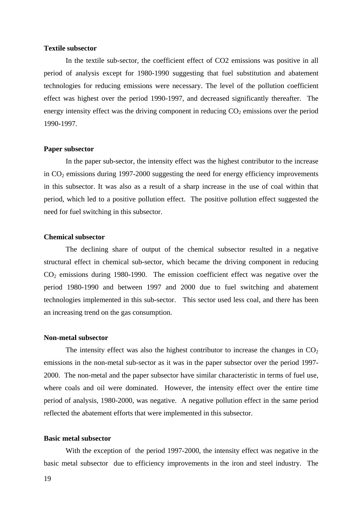### **Textile subsector**

In the textile sub-sector, the coefficient effect of CO2 emissions was positive in all period of analysis except for 1980-1990 suggesting that fuel substitution and abatement technologies for reducing emissions were necessary. The level of the pollution coefficient effect was highest over the period 1990-1997, and decreased significantly thereafter. The energy intensity effect was the driving component in reducing  $CO<sub>2</sub>$  emissions over the period 1990-1997.

### **Paper subsector**

In the paper sub-sector, the intensity effect was the highest contributor to the increase in  $CO<sub>2</sub>$  emissions during 1997-2000 suggesting the need for energy efficiency improvements in this subsector. It was also as a result of a sharp increase in the use of coal within that period, which led to a positive pollution effect. The positive pollution effect suggested the need for fuel switching in this subsector.

# **Chemical subsector**

The declining share of output of the chemical subsector resulted in a negative structural effect in chemical sub-sector, which became the driving component in reducing  $CO<sub>2</sub>$  emissions during 1980-1990. The emission coefficient effect was negative over the period 1980-1990 and between 1997 and 2000 due to fuel switching and abatement technologies implemented in this sub-sector. This sector used less coal, and there has been an increasing trend on the gas consumption.

### **Non-metal subsector**

The intensity effect was also the highest contributor to increase the changes in  $CO<sub>2</sub>$ emissions in the non-metal sub-sector as it was in the paper subsector over the period 1997- 2000. The non-metal and the paper subsector have similar characteristic in terms of fuel use, where coals and oil were dominated. However, the intensity effect over the entire time period of analysis, 1980-2000, was negative. A negative pollution effect in the same period reflected the abatement efforts that were implemented in this subsector.

## **Basic metal subsector**

With the exception of the period 1997-2000, the intensity effect was negative in the basic metal subsector due to efficiency improvements in the iron and steel industry. The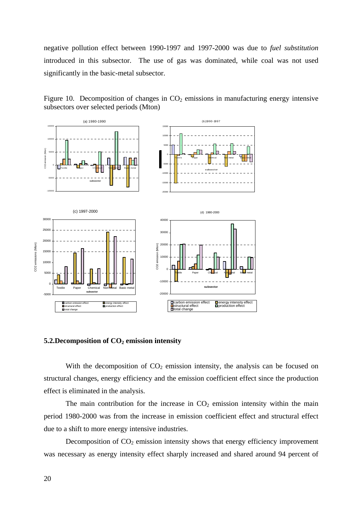negative pollution effect between 1990-1997 and 1997-2000 was due to *fuel substitution*  introduced in this subsector. The use of gas was dominated, while coal was not used significantly in the basic-metal subsector.



Figure 10. Decomposition of changes in  $CO<sub>2</sub>$  emissions in manufacturing energy intensive subsectors over selected periods (Mton)

#### **5.2.Decomposition of CO<sub>2</sub> emission intensity**

With the decomposition of  $CO<sub>2</sub>$  emission intensity, the analysis can be focused on structural changes, energy efficiency and the emission coefficient effect since the production effect is eliminated in the analysis.

The main contribution for the increase in  $CO<sub>2</sub>$  emission intensity within the main period 1980-2000 was from the increase in emission coefficient effect and structural effect due to a shift to more energy intensive industries.

Decomposition of  $CO<sub>2</sub>$  emission intensity shows that energy efficiency improvement was necessary as energy intensity effect sharply increased and shared around 94 percent of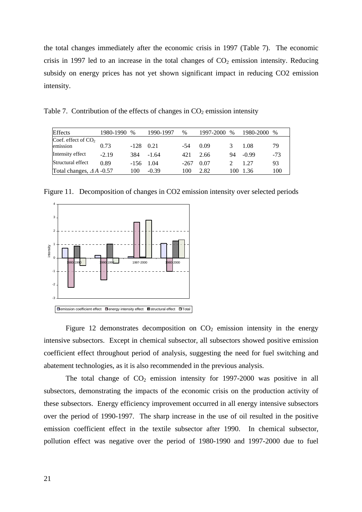the total changes immediately after the economic crisis in 1997 (Table 7). The economic crisis in 1997 led to an increase in the total changes of  $CO<sub>2</sub>$  emission intensity. Reducing subsidy on energy prices has not yet shown significant impact in reducing CO2 emission intensity.

Table 7. Contribution of the effects of changes in  $CO<sub>2</sub>$  emission intensity

| <b>Effects</b>                  | 1980-1990 | $\%$ | 1990-1997 | %      | 1997-2000 | $\%$ | 1980-2000 | $\%$  |
|---------------------------------|-----------|------|-----------|--------|-----------|------|-----------|-------|
| Coef. effect of $CO2$           |           |      |           |        |           |      |           |       |
| emission                        | 0.73      | -128 | 0.21      | -54    | 0.09      | 3    | 1.08      | 79    |
| Intensity effect                | $-2.19$   | 384  | $-1.64$   | 421    | 2.66      | 94   | $-0.99$   | $-73$ |
| Structural effect               | 0.89      | -156 | 1.04      | $-267$ | 0.07      |      | 1 27      | 93    |
| Total changes, $\Delta A$ -0.57 |           | 100  | $-0.39$   | 100    | 2.82      | 100  | 1.36      | 100   |

Figure 11. Decomposition of changes in CO2 emission intensity over selected periods



Figure 12 demonstrates decomposition on  $CO<sub>2</sub>$  emission intensity in the energy intensive subsectors. Except in chemical subsector, all subsectors showed positive emission coefficient effect throughout period of analysis, suggesting the need for fuel switching and abatement technologies, as it is also recommended in the previous analysis.

The total change of  $CO<sub>2</sub>$  emission intensity for 1997-2000 was positive in all subsectors, demonstrating the impacts of the economic crisis on the production activity of these subsectors. Energy efficiency improvement occurred in all energy intensive subsectors over the period of 1990-1997. The sharp increase in the use of oil resulted in the positive emission coefficient effect in the textile subsector after 1990. In chemical subsector, pollution effect was negative over the period of 1980-1990 and 1997-2000 due to fuel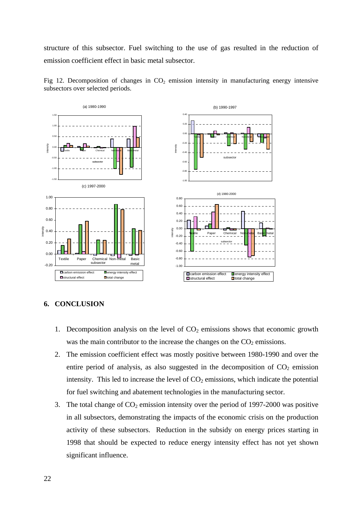structure of this subsector. Fuel switching to the use of gas resulted in the reduction of emission coefficient effect in basic metal subsector.





# **6. CONCLUSION**

- 1. Decomposition analysis on the level of  $CO<sub>2</sub>$  emissions shows that economic growth was the main contributor to the increase the changes on the  $CO<sub>2</sub>$  emissions.
- 2. The emission coefficient effect was mostly positive between 1980-1990 and over the entire period of analysis, as also suggested in the decomposition of  $CO<sub>2</sub>$  emission intensity. This led to increase the level of  $CO<sub>2</sub>$  emissions, which indicate the potential for fuel switching and abatement technologies in the manufacturing sector.
- 3. The total change of  $CO_2$  emission intensity over the period of 1997-2000 was positive in all subsectors, demonstrating the impacts of the economic crisis on the production activity of these subsectors. Reduction in the subsidy on energy prices starting in 1998 that should be expected to reduce energy intensity effect has not yet shown significant influence.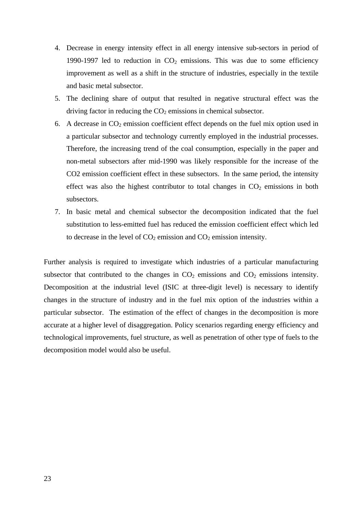- 4. Decrease in energy intensity effect in all energy intensive sub-sectors in period of 1990-1997 led to reduction in  $CO<sub>2</sub>$  emissions. This was due to some efficiency improvement as well as a shift in the structure of industries, especially in the textile and basic metal subsector.
- 5. The declining share of output that resulted in negative structural effect was the driving factor in reducing the  $CO<sub>2</sub>$  emissions in chemical subsector.
- 6. A decrease in  $CO<sub>2</sub>$  emission coefficient effect depends on the fuel mix option used in a particular subsector and technology currently employed in the industrial processes. Therefore, the increasing trend of the coal consumption, especially in the paper and non-metal subsectors after mid-1990 was likely responsible for the increase of the CO2 emission coefficient effect in these subsectors. In the same period, the intensity effect was also the highest contributor to total changes in  $CO<sub>2</sub>$  emissions in both subsectors.
- 7. In basic metal and chemical subsector the decomposition indicated that the fuel substitution to less-emitted fuel has reduced the emission coefficient effect which led to decrease in the level of  $CO_2$  emission and  $CO_2$  emission intensity.

Further analysis is required to investigate which industries of a particular manufacturing subsector that contributed to the changes in  $CO<sub>2</sub>$  emissions and  $CO<sub>2</sub>$  emissions intensity. Decomposition at the industrial level (ISIC at three-digit level) is necessary to identify changes in the structure of industry and in the fuel mix option of the industries within a particular subsector. The estimation of the effect of changes in the decomposition is more accurate at a higher level of disaggregation. Policy scenarios regarding energy efficiency and technological improvements, fuel structure, as well as penetration of other type of fuels to the decomposition model would also be useful.